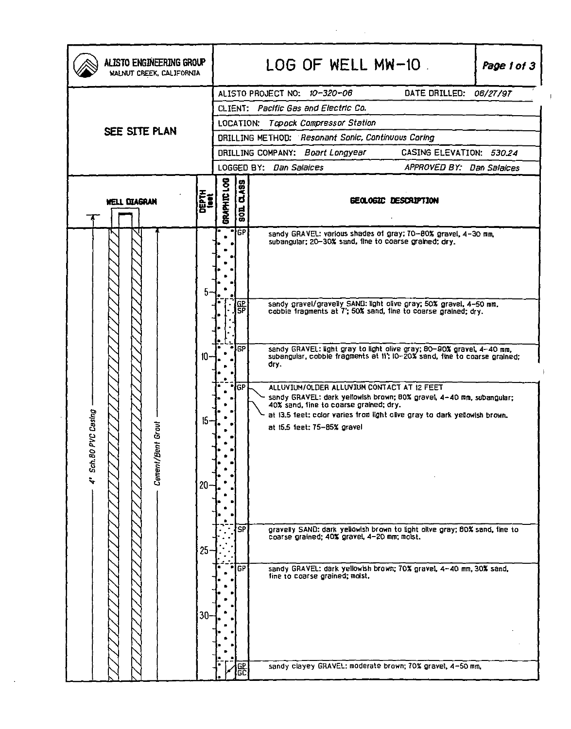| <u>LISTO ENGINEERING GROUP</u><br>WALNUT CREEK, CALIFORNIA          |                 |                                                                                                                                                                                                                                                                                        | LOG OF WELL MW-10                                                                                                                                                                                                                                                                      |                        | Page 1 of 3 |  |
|---------------------------------------------------------------------|-----------------|----------------------------------------------------------------------------------------------------------------------------------------------------------------------------------------------------------------------------------------------------------------------------------------|----------------------------------------------------------------------------------------------------------------------------------------------------------------------------------------------------------------------------------------------------------------------------------------|------------------------|-------------|--|
| SEE SITE PLAN                                                       |                 |                                                                                                                                                                                                                                                                                        | ALISTO PROJECT NO: 10-320-06<br>CLIENT: Pacific Gas and Electric Co.                                                                                                                                                                                                                   | DATE DRILLED: 08/27/97 |             |  |
|                                                                     |                 | <b>Topock Compressor Station</b><br>LOCATION:                                                                                                                                                                                                                                          |                                                                                                                                                                                                                                                                                        |                        |             |  |
|                                                                     |                 | DRILLING METHOD: Resonant Sonic, Continuous Coring                                                                                                                                                                                                                                     |                                                                                                                                                                                                                                                                                        |                        |             |  |
|                                                                     |                 | DRILLING COMPANY: Boart Longyear<br>CASING ELEVATION: 530.24                                                                                                                                                                                                                           |                                                                                                                                                                                                                                                                                        |                        |             |  |
|                                                                     |                 | LOGGED BY: Dan Salaices<br>APPROVED BY: Dan Salaices                                                                                                                                                                                                                                   |                                                                                                                                                                                                                                                                                        |                        |             |  |
| <b>WELL DIAGRAN</b>                                                 | DEPTH<br>1001   | <b>BAAPHIC LOG</b><br><b>DLASS</b><br>GEOLOGIC DESCRIPTION<br>$\overline{501}$                                                                                                                                                                                                         |                                                                                                                                                                                                                                                                                        |                        |             |  |
| <b>PVC Casing</b><br>Cement/Bent Grout<br>Sch.80<br>$\ddot{\bm{r}}$ |                 | <b>GP</b>                                                                                                                                                                                                                                                                              | sandy GRAVEL: various shades of gray; 70-80% gravel, 4-30 mm,<br>subangular: 20-30% sand, fine to coarse grained; dry.                                                                                                                                                                 |                        |             |  |
|                                                                     | $10 -$          | <b>GP</b><br>$\overline{\mathsf{SP}}$<br>lGP                                                                                                                                                                                                                                           | sandy gravel/gravelly SAND: light olive gray; 50% gravel, 4-50 mm, cobbie tragments at 7'; 50% sand, tine to coarse grained; dry.<br>sandy GRAVEL: light gray to light olive gray; 80-80% gravel, 4-40 mm,<br>subangular, cobble tragments at 11; 10-20% sand, tine to coarse grained; |                        |             |  |
|                                                                     | $15-$           | dry.<br>GP<br>ALLUVIUM/OLDER ALLUVIUM CONTACT AT 12 FEET<br>sandy GRAVEL: dark yellowish brown; 80% gravel, 4-40 nm, subangular;<br>40% sand, line to coarse grained; dry.<br>at i3.5 feet: color varies from light olive gray to dark yellowish brown.<br>at 15.5 feet: 75-85% gravel |                                                                                                                                                                                                                                                                                        |                        |             |  |
|                                                                     | 20 <sub>1</sub> |                                                                                                                                                                                                                                                                                        |                                                                                                                                                                                                                                                                                        |                        |             |  |
|                                                                     | $25 -$          | 'SP<br>GP                                                                                                                                                                                                                                                                              | gravelly SAND: dark yellowish brown to light olive gray; BO% sand, tine to<br>coarse grained; 40% gravel, 4-20 mm; molst.<br>sandy GRAVEL: dark yellowish brown; 70% gravel, 4-40 mm, 30% sand,                                                                                        |                        |             |  |
|                                                                     | $30-$           |                                                                                                                                                                                                                                                                                        | fine to coarse grained; moist.                                                                                                                                                                                                                                                         |                        |             |  |
|                                                                     |                 | 뽒                                                                                                                                                                                                                                                                                      | sandy clayey GRAVEL: moderate brown; 70% gravel, 4-50 mm,                                                                                                                                                                                                                              |                        |             |  |

 $\ddot{\phantom{a}}$ 

 $\mathcal{O}(\mathcal{O}_\mathcal{O})$  . The  $\mathcal{O}(\mathcal{O}_\mathcal{O})$ 

 $\sim$   $\sim$ 

 $\langle \mathbf{J} \rangle$  .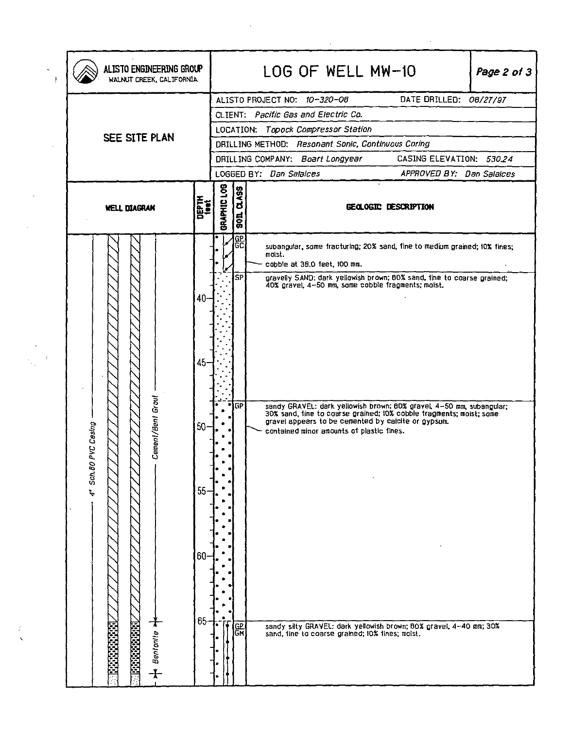